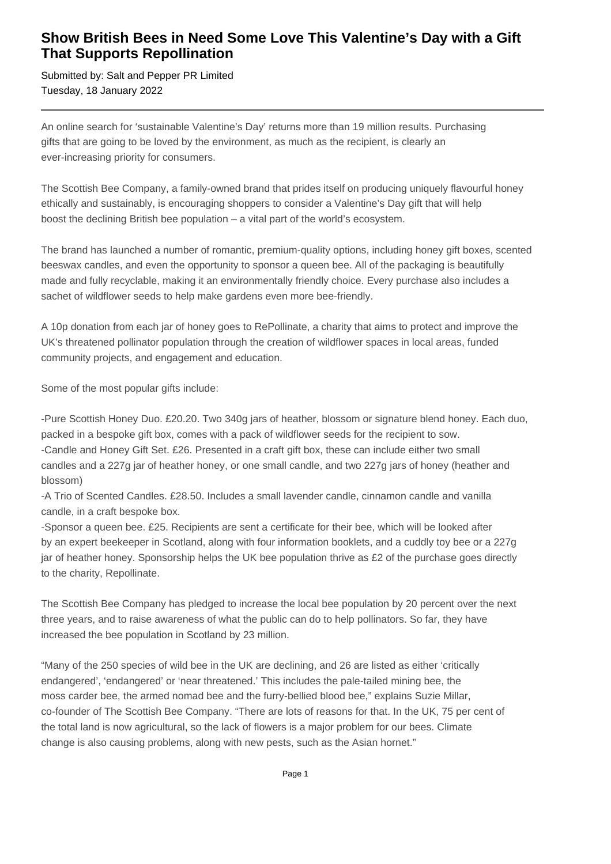## **Show British Bees in Need Some Love This Valentine's Day with a Gift That Supports Repollination**

Submitted by: Salt and Pepper PR Limited Tuesday, 18 January 2022

An online search for 'sustainable Valentine's Day' returns more than 19 million results. Purchasing gifts that are going to be loved by the environment, as much as the recipient, is clearly an ever-increasing priority for consumers.

The Scottish Bee Company, a family-owned brand that prides itself on producing uniquely flavourful honey ethically and sustainably, is encouraging shoppers to consider a Valentine's Day gift that will help boost the declining British bee population – a vital part of the world's ecosystem.

The brand has launched a number of romantic, premium-quality options, including honey gift boxes, scented beeswax candles, and even the opportunity to sponsor a queen bee. All of the packaging is beautifully made and fully recyclable, making it an environmentally friendly choice. Every purchase also includes a sachet of wildflower seeds to help make gardens even more bee-friendly.

A 10p donation from each jar of honey goes to RePollinate, a charity that aims to protect and improve the UK's threatened pollinator population through the creation of wildflower spaces in local areas, funded community projects, and engagement and education.

Some of the most popular gifts include:

- Pure Scottish Honey Duo. £20.20. Two 340g jars of heather, blossom or signature blend honey. Each duo, packed in a bespoke gift box, comes with a pack of wildflower seeds for the recipient to sow.

- Candle and Honey Gift Set. £26. Presented in a craft gift box, these can include either two small candles and a 227g jar of heather honey, or one small candle, and two 227g jars of honey (heather and blossom)

- A Trio of Scented Candles. £28.50. Includes a small lavender candle, cinnamon candle and vanilla candle, in a craft bespoke box.

- Sponsor a queen bee. £25. Recipients are sent a certificate for their bee, which will be looked after by an expert beekeeper in Scotland, along with four information booklets, and a cuddly toy bee or a 227g jar of heather honey. Sponsorship helps the UK bee population thrive as  $£2$  of the purchase goes directly to the charity, Repollinate.

The Scottish Bee Company has pledged to increase the local bee population by 20 percent over the next three years, and to raise awareness of what the public can do to help pollinators. So far, they have increased the bee population in Scotland by 23 million.

"Many of the 250 species of wild bee in the UK are declining, and 26 are listed as either 'critically endangered', 'endangered' or 'near threatened.' This includes the pale-tailed mining bee, the moss carder bee, the armed nomad bee and the furry-bellied blood bee," explains Suzie Millar, co-founder of The Scottish Bee Company. "There are lots of reasons for that. In the UK, 75 per cent of the total land is now agricultural, so the lack of flowers is a major problem for our bees. Climate change is also causing problems, along with new pests, such as the Asian hornet."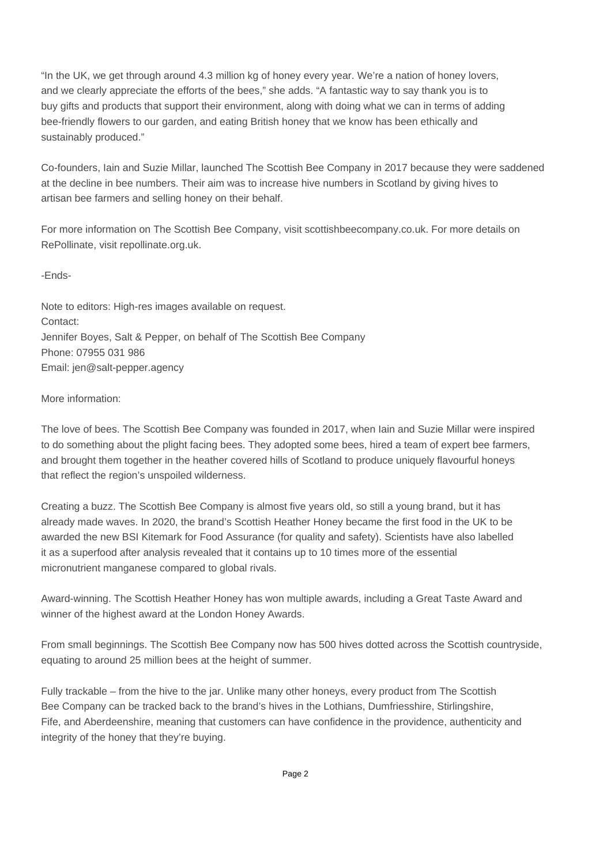"In the UK, we get through around 4.3 million kg of honey every year. We're a nation of honey lovers, and we clearly appreciate the efforts of the bees," she adds. "A fantastic way to say thank you is to buy gifts and products that support their environment, along with doing what we can in terms of adding bee-friendly flowers to our garden, and eating British honey that we know has been ethically and sustainably produced."

Co-founders, Iain and Suzie Millar, launched The Scottish Bee Company in 2017 because they were saddened at the decline in bee numbers. Their aim was to increase hive numbers in Scotland by giving hives to artisan bee farmers and selling honey on their behalf.

For more information on The Scottish Bee Company, visit scottishbeecompany.co.uk. For more details on RePollinate, visit repollinate.org.uk.

-Ends-

Note to editors: High-res images available on request. Contact: Jennifer Boyes, Salt & Pepper, on behalf of The Scottish Bee Company Phone: 07955 031 986 Email: jen@salt-pepper.agency

More information:

The love of bees. The Scottish Bee Company was founded in 2017, when Iain and Suzie Millar were inspired to do something about the plight facing bees. They adopted some bees, hired a team of expert bee farmers, and brought them together in the heather covered hills of Scotland to produce uniquely flavourful honeys that reflect the region's unspoiled wilderness.

Creating a buzz. The Scottish Bee Company is almost five years old, so still a young brand, but it has already made waves. In 2020, the brand's Scottish Heather Honey became the first food in the UK to be awarded the new BSI Kitemark for Food Assurance (for quality and safety). Scientists have also labelled it as a superfood after analysis revealed that it contains up to 10 times more of the essential micronutrient manganese compared to global rivals.

Award-winning. The Scottish Heather Honey has won multiple awards, including a Great Taste Award and winner of the highest award at the London Honey Awards.

From small beginnings. The Scottish Bee Company now has 500 hives dotted across the Scottish countryside, equating to around 25 million bees at the height of summer.

Fully trackable – from the hive to the jar. Unlike many other honeys, every product from The Scottish Bee Company can be tracked back to the brand's hives in the Lothians, Dumfriesshire, Stirlingshire, Fife, and Aberdeenshire, meaning that customers can have confidence in the providence, authenticity and integrity of the honey that they're buying.